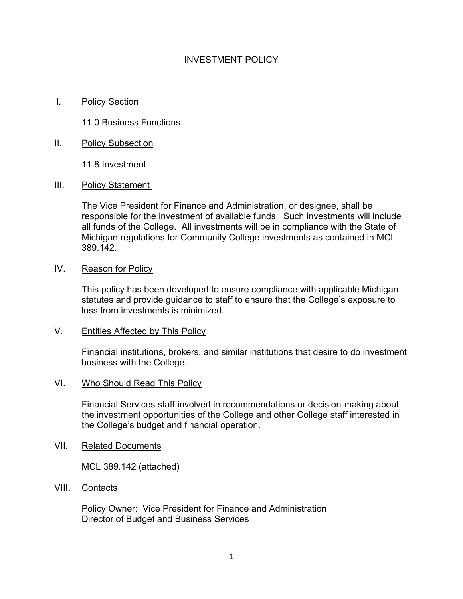# INVESTMENT POLICY

I. Policy Section

11.0 Business Functions

II. Policy Subsection

11.8 Investment

III. Policy Statement

The Vice President for Finance and Administration, or designee, shall be responsible for the investment of available funds. Such investments will include all funds of the College. All investments will be in compliance with the State of Michigan regulations for Community College investments as contained in MCL 389.142.

IV. Reason for Policy

This policy has been developed to ensure compliance with applicable Michigan statutes and provide guidance to staff to ensure that the College's exposure to loss from investments is minimized.

V. Entities Affected by This Policy

Financial institutions, brokers, and similar institutions that desire to do investment business with the College.

#### VI. Who Should Read This Policy

Financial Services staff involved in recommendations or decision-making about the investment opportunities of the College and other College staff interested in the College's budget and financial operation.

VII. Related Documents

MCL 389.142 (attached)

VIII. Contacts

Policy Owner: Vice President for Finance and Administration Director of Budget and Business Services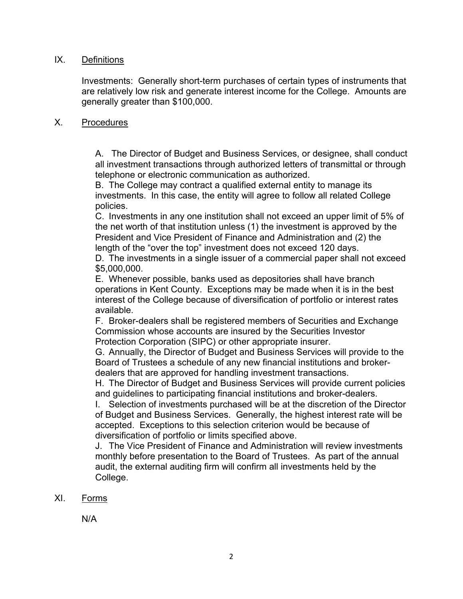### IX. Definitions

Investments: Generally short-term purchases of certain types of instruments that are relatively low risk and generate interest income for the College. Amounts are generally greater than \$100,000.

#### X. Procedures

A. The Director of Budget and Business Services, or designee, shall conduct all investment transactions through authorized letters of transmittal or through telephone or electronic communication as authorized.

B. The College may contract a qualified external entity to manage its investments. In this case, the entity will agree to follow all related College policies.

C. Investments in any one institution shall not exceed an upper limit of 5% of the net worth of that institution unless (1) the investment is approved by the President and Vice President of Finance and Administration and (2) the length of the "over the top" investment does not exceed 120 days.

D. The investments in a single issuer of a commercial paper shall not exceed \$5,000,000.

E. Whenever possible, banks used as depositories shall have branch operations in Kent County. Exceptions may be made when it is in the best interest of the College because of diversification of portfolio or interest rates available.

F. Broker-dealers shall be registered members of Securities and Exchange Commission whose accounts are insured by the Securities Investor Protection Corporation (SIPC) or other appropriate insurer.

G. Annually, the Director of Budget and Business Services will provide to the Board of Trustees a schedule of any new financial institutions and brokerdealers that are approved for handling investment transactions.

H. The Director of Budget and Business Services will provide current policies and guidelines to participating financial institutions and broker-dealers.

I. Selection of investments purchased will be at the discretion of the Director of Budget and Business Services. Generally, the highest interest rate will be accepted. Exceptions to this selection criterion would be because of diversification of portfolio or limits specified above.

J. The Vice President of Finance and Administration will review investments monthly before presentation to the Board of Trustees. As part of the annual audit, the external auditing firm will confirm all investments held by the College.

### XI. Forms

N/A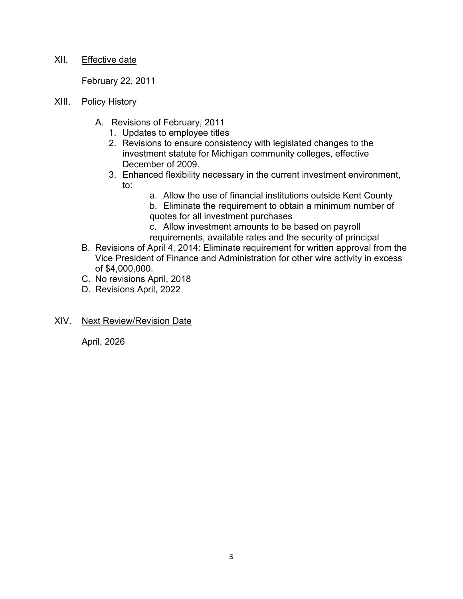## XII. Effective date

February 22, 2011

- XIII. Policy History
	- A. Revisions of February, 2011
		- 1. Updates to employee titles
		- 2. Revisions to ensure consistency with legislated changes to the investment statute for Michigan community colleges, effective December of 2009.
		- 3. Enhanced flexibility necessary in the current investment environment, to:
			- a. Allow the use of financial institutions outside Kent County
				- b. Eliminate the requirement to obtain a minimum number of quotes for all investment purchases
				- c. Allow investment amounts to be based on payroll requirements, available rates and the security of principal
	- B. Revisions of April 4, 2014: Eliminate requirement for written approval from the Vice President of Finance and Administration for other wire activity in excess of \$4,000,000.
	- C. No revisions April, 2018
	- D. Revisions April, 2022
- XIV. Next Review/Revision Date

April, 2026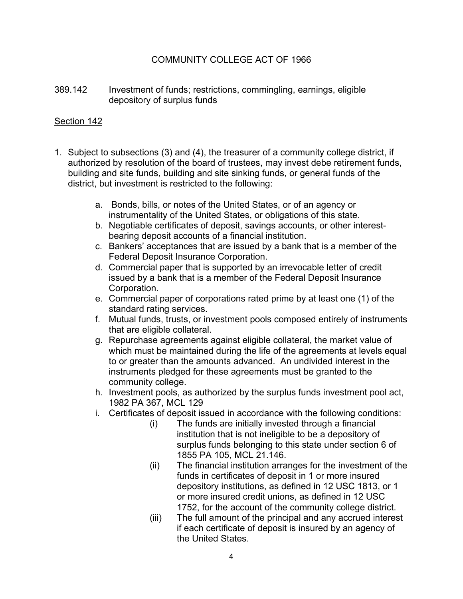# COMMUNITY COLLEGE ACT OF 1966

389.142 Investment of funds; restrictions, commingling, earnings, eligible depository of surplus funds

## Section 142

- 1. Subject to subsections (3) and (4), the treasurer of a community college district, if authorized by resolution of the board of trustees, may invest debe retirement funds, building and site funds, building and site sinking funds, or general funds of the district, but investment is restricted to the following:
	- a. Bonds, bills, or notes of the United States, or of an agency or instrumentality of the United States, or obligations of this state.
	- b. Negotiable certificates of deposit, savings accounts, or other interestbearing deposit accounts of a financial institution.
	- c. Bankers' acceptances that are issued by a bank that is a member of the Federal Deposit Insurance Corporation.
	- d. Commercial paper that is supported by an irrevocable letter of credit issued by a bank that is a member of the Federal Deposit Insurance Corporation.
	- e. Commercial paper of corporations rated prime by at least one (1) of the standard rating services.
	- f. Mutual funds, trusts, or investment pools composed entirely of instruments that are eligible collateral.
	- g. Repurchase agreements against eligible collateral, the market value of which must be maintained during the life of the agreements at levels equal to or greater than the amounts advanced. An undivided interest in the instruments pledged for these agreements must be granted to the community college.
	- h. Investment pools, as authorized by the surplus funds investment pool act, 1982 PA 367, MCL 129
	- i. Certificates of deposit issued in accordance with the following conditions:
		- (i) The funds are initially invested through a financial institution that is not ineligible to be a depository of surplus funds belonging to this state under section 6 of 1855 PA 105, MCL 21.146.
		- (ii) The financial institution arranges for the investment of the funds in certificates of deposit in 1 or more insured depository institutions, as defined in 12 USC 1813, or 1 or more insured credit unions, as defined in 12 USC 1752, for the account of the community college district.
		- (iii) The full amount of the principal and any accrued interest if each certificate of deposit is insured by an agency of the United States.